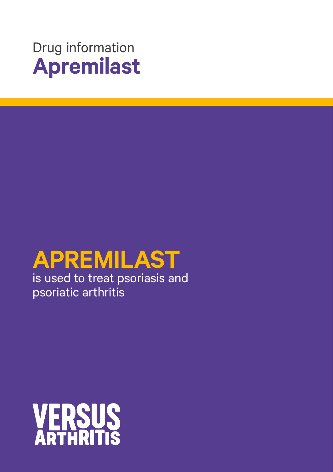

# **APREMILAST**

is used to treat psoriasis and psoriatic arthritis

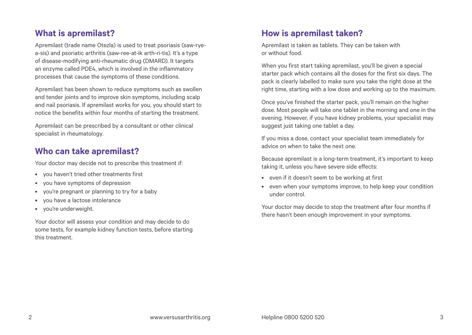## **What is apremilast?**

Apremilast (trade name Otezla) is used to treat psoriasis (saw-ryea-sis) and psoriatic arthritis (saw-ree-at-ik arth-ri-tis). It's a type of disease-modifying anti-rheumatic drug (DMARD). It targets an enzyme called PDE4, which is involved in the inflammatory processes that cause the symptoms of these conditions.

Apremilast has been shown to reduce symptoms such as swollen and tender joints and to improve skin symptoms, including scalp and nail psoriasis. If apremilast works for you, you should start to notice the benefits within four months of starting the treatment.

Apremilast can be prescribed by a consultant or other clinical specialist in rheumatology.

## **Who can take apremilast?**

Your doctor may decide not to prescribe this treatment if:

- you haven't tried other treatments first
- you have symptoms of depression
- you're pregnant or planning to try for a baby
- you have a lactose intolerance
- you're underweight.

Your doctor will assess your condition and may decide to do some tests, for example kidney function tests, before starting this treatment.

# **How is apremilast taken?**

Apremilast is taken as tablets. They can be taken with or without food.

When you first start taking apremilast, you'll be given a special starter pack which contains all the doses for the first six days. The pack is clearly labelled to make sure you take the right dose at the right time, starting with a low dose and working up to the maximum.

Once you've finished the starter pack, you'll remain on the higher dose. Most people will take one tablet in the morning and one in the evening. However, if you have kidney problems, your specialist may suggest just taking one tablet a day.

If you miss a dose, contact your specialist team immediately for advice on when to take the next one.

Because apremilast is a long-term treatment, it's important to keep taking it, unless you have severe side effects:

- even if it doesn't seem to be working at first
- even when your symptoms improve, to help keep your condition under control.

Your doctor may decide to stop the treatment after four months if there hasn't been enough improvement in your symptoms.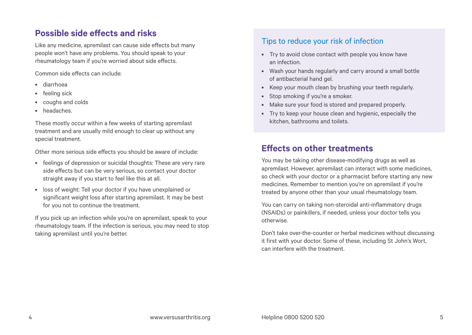## **Possible side effects and risks**

Like any medicine, apremilast can cause side effects but many people won't have any problems. You should speak to your rheumatology team if you're worried about side effects.

Common side effects can include:

- diarrhoea
- feeling sick
- coughs and colds
- headaches.

These mostly occur within a few weeks of starting apremilast treatment and are usually mild enough to clear up without any special treatment.

Other more serious side effects you should be aware of include:

- feelings of depression or suicidal thoughts: These are very rare side effects but can be very serious, so contact your doctor straight away if you start to feel like this at all.
- loss of weight: Tell your doctor if you have unexplained or significant weight loss after starting apremilast. It may be best for you not to continue the treatment.

If you pick up an infection while you're on apremilast, speak to your rheumatology team. If the infection is serious, you may need to stop taking apremilast until you're better.

## Tips to reduce your risk of infection

- Try to avoid close contact with people you know have an infection.
- Wash your hands regularly and carry around a small bottle of antibacterial hand gel.
- Keep your mouth clean by brushing your teeth regularly.
- Stop smoking if you're a smoker.
- Make sure your food is stored and prepared properly.
- Try to keep your house clean and hygienic, especially the kitchen, bathrooms and toilets.

## **Effects on other treatments**

You may be taking other disease-modifying drugs as well as apremilast. However, apremilast can interact with some medicines, so check with your doctor or a pharmacist before starting any new medicines. Remember to mention you're on apremilast if you're treated by anyone other than your usual rheumatology team.

You can carry on taking non-steroidal anti-inflammatory drugs (NSAIDs) or painkillers, if needed, unless your doctor tells you otherwise.

Don't take over-the-counter or herbal medicines without discussing it first with your doctor. Some of these, including St John's Wort, can interfere with the treatment.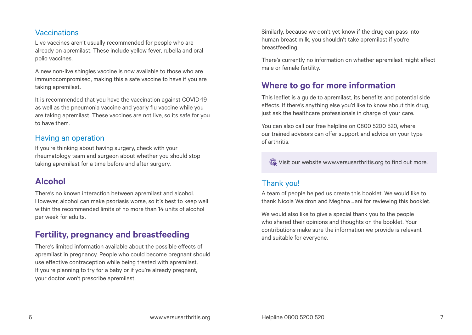#### Vaccinations

Live vaccines aren't usually recommended for people who are already on apremilast. These include yellow fever, rubella and oral polio vaccines.

A new non-live shingles vaccine is now available to those who are immunocompromised, making this a safe vaccine to have if you are taking apremilast.

It is recommended that you have the vaccination against COVID-19 as well as the pneumonia vaccine and yearly flu vaccine while you are taking apremilast. These vaccines are not live, so its safe for you to have them.

#### Having an operation

If you're thinking about having surgery, check with your rheumatology team and surgeon about whether you should stop taking apremilast for a time before and after surgery.

## **Alcohol**

There's no known interaction between apremilast and alcohol. However, alcohol can make psoriasis worse, so it's best to keep well within the recommended limits of no more than 14 units of alcohol per week for adults.

## **Fertility, pregnancy and breastfeeding**

There's limited information available about the possible effects of apremilast in pregnancy. People who could become pregnant should use effective contraception while being treated with apremilast. If you're planning to try for a baby or if you're already pregnant, your doctor won't prescribe apremilast.

Similarly, because we don't yet know if the drug can pass into human breast milk, you shouldn't take apremilast if you're breastfeeding.

There's currently no information on whether apremilast might affect male or female fertility.

## **Where to go for more information**

This leaflet is a guide to apremilast, its benefits and potential side effects. If there's anything else you'd like to know about this drug, just ask the healthcare professionals in charge of your care.

You can also call our free helpline on 0800 5200 520, where our trained advisors can offer support and advice on your type of arthritis.

Visit our website www.versusarthritis.org to find out more.

### Thank you!

A team of people helped us create this booklet. We would like to thank Nicola Waldron and Meghna Jani for reviewing this booklet.

We would also like to give a special thank you to the people who shared their opinions and thoughts on the booklet. Your contributions make sure the information we provide is relevant and suitable for everyone.